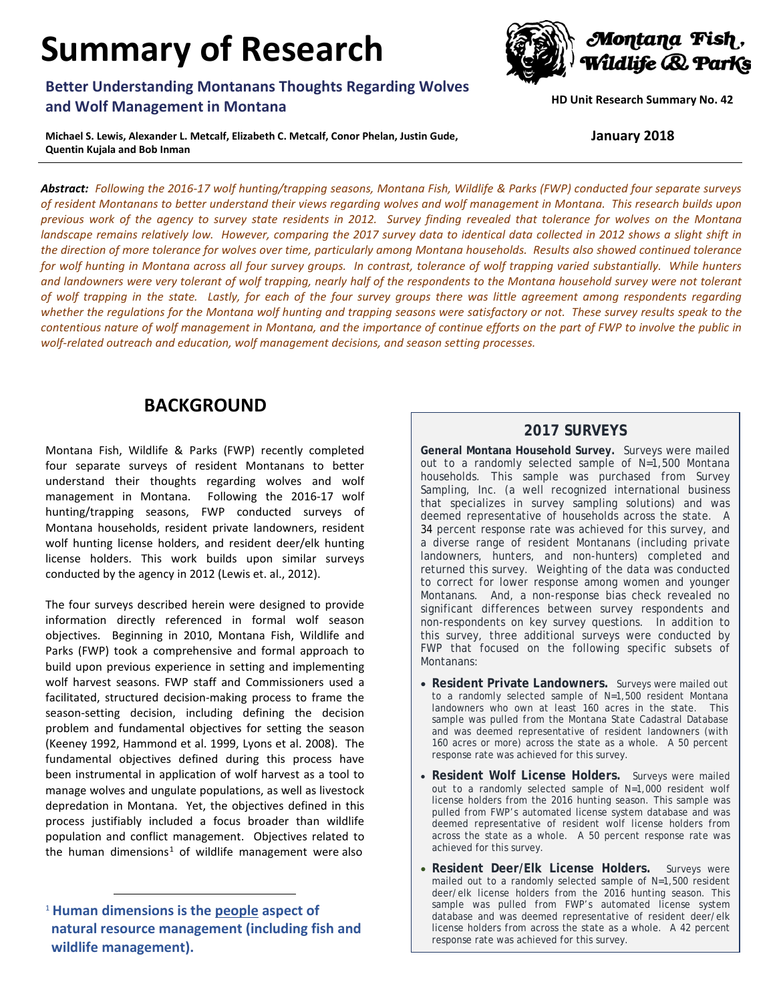# **Summary of Research**

## **Better Understanding Montanans Thoughts Regarding Wolves and Wolf Management in Montana**

**Michael S. Lewis, Alexander L. Metcalf, Elizabeth C. Metcalf, Conor Phelan, Justin Gude, Quentin Kujala and Bob Inman** 

*Abstract: Following the 2016-17 wolf hunting/trapping seasons, Montana Fish, Wildlife & Parks (FWP) conducted four separate surveys of resident Montanans to better understand their views regarding wolves and wolf management in Montana. This research builds upon previous work of the agency to survey state residents in 2012. Survey finding revealed that tolerance for wolves on the Montana landscape remains relatively low. However, comparing the 2017 survey data to identical data collected in 2012 shows a slight shift in the direction of more tolerance for wolves over time, particularly among Montana households. Results also showed continued tolerance for wolf hunting in Montana across all four survey groups. In contrast, tolerance of wolf trapping varied substantially. While hunters and landowners were very tolerant of wolf trapping, nearly half of the respondents to the Montana household survey were not tolerant of wolf trapping in the state. Lastly, for each of the four survey groups there was little agreement among respondents regarding*  whether the regulations for the Montana wolf hunting and trapping seasons were satisfactory or not. These survey results speak to the *contentious nature of wolf management in Montana, and the importance of continue efforts on the part of FWP to involve the public in wolf-related outreach and education, wolf management decisions, and season setting processes.*

# **BACKGROUND**

Montana Fish, Wildlife & Parks (FWP) recently completed four separate surveys of resident Montanans to better understand their thoughts regarding wolves and wolf management in Montana. Following the 2016-17 wolf hunting/trapping seasons, FWP conducted surveys of Montana households, resident private landowners, resident wolf hunting license holders, and resident deer/elk hunting license holders. This work builds upon similar surveys conducted by the agency in 2012 (Lewis et. al., 2012).

The four surveys described herein were designed to provide information directly referenced in formal wolf season objectives. Beginning in 2010, Montana Fish, Wildlife and Parks (FWP) took a comprehensive and formal approach to build upon previous experience in setting and implementing wolf harvest seasons. FWP staff and Commissioners used a facilitated, structured decision-making process to frame the season-setting decision, including defining the decision problem and fundamental objectives for setting the season (Keeney 1992, Hammond et al. 1999, Lyons et al. 2008). The fundamental objectives defined during this process have been instrumental in application of wolf harvest as a tool to manage wolves and ungulate populations, as well as livestock depredation in Montana. Yet, the objectives defined in this process justifiably included a focus broader than wildlife population and conflict management. Objectives related to the human dimensions<sup>[1](#page-0-0)</sup> of wildlife management were also

## **2017 SURVEYS**

**General Montana Household Survey.** Surveys were mailed out to a randomly selected sample of N=1,500 Montana households. This sample was purchased from Survey Sampling, Inc. (a well recognized international business that specializes in survey sampling solutions) and was deemed representative of households across the state. A 34 percent response rate was achieved for this survey, and a diverse range of resident Montanans (including private landowners, hunters, and non-hunters) completed and returned this survey. Weighting of the data was conducted to correct for lower response among women and younger Montanans. And, a non-response bias check revealed no significant differences between survey respondents and non-respondents on key survey questions. In addition to this survey, three additional surveys were conducted by FWP that focused on the following specific subsets of Montanans:

- **Resident Private Landowners.** Surveys were mailed out to a randomly selected sample of N=1,500 resident Montana landowners who own at least 160 acres in the state. This sample was pulled from the Montana State Cadastral Database and was deemed representative of resident landowners (with 160 acres or more) across the state as a whole. A 50 percent response rate was achieved for this survey.
- **Resident Wolf License Holders.** Surveys were mailed out to a randomly selected sample of N=1,000 resident wolf license holders from the 2016 hunting season. This sample was pulled from FWP's automated license system database and was deemed representative of resident wolf license holders from across the state as a whole. A 50 percent response rate was achieved for this survey.
- **Resident Deer/Elk License Holders.** Surveys were mailed out to a randomly selected sample of N=1,500 resident deer/elk license holders from the 2016 hunting season. This sample was pulled from FWP's automated license system database and was deemed representative of resident deer/elk license holders from across the state as a whole. A 42 percent response rate was achieved for this survey.



**HD Unit Research Summary No. 42**

**January 2018**

<span id="page-0-0"></span> <sup>1</sup> **Human dimensions is the people aspect of natural resource management (including fish and wildlife management).**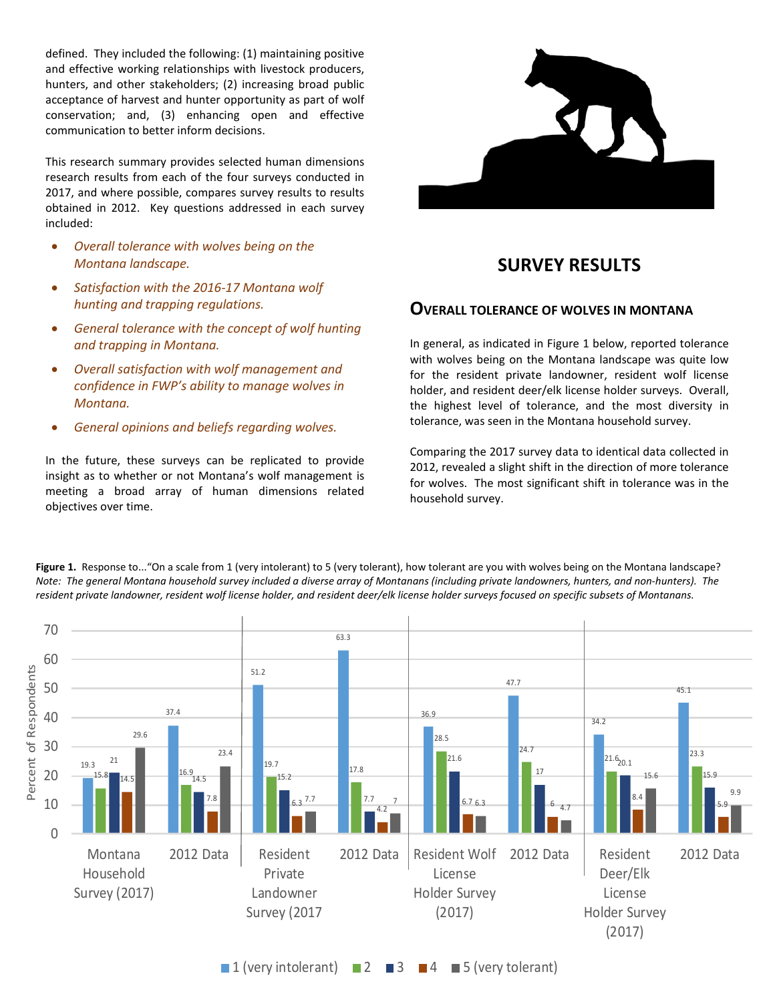defined. They included the following: (1) maintaining positive and effective working relationships with livestock producers, hunters, and other stakeholders; (2) increasing broad public acceptance of harvest and hunter opportunity as part of wolf conservation; and, (3) enhancing open and effective communication to better inform decisions.

This research summary provides selected human dimensions research results from each of the four surveys conducted in 2017, and where possible, compares survey results to results obtained in 2012. Key questions addressed in each survey included:

- *Overall tolerance with wolves being on the Montana landscape.*
- *Satisfaction with the 2016-17 Montana wolf hunting and trapping regulations.*
- *General tolerance with the concept of wolf hunting and trapping in Montana.*
- *Overall satisfaction with wolf management and confidence in FWP's ability to manage wolves in Montana.*
- *General opinions and beliefs regarding wolves.*

In the future, these surveys can be replicated to provide insight as to whether or not Montana's wolf management is meeting a broad array of human dimensions related objectives over time.



# **SURVEY RESULTS**

## **OVERALL TOLERANCE OF WOLVES IN MONTANA**

In general, as indicated in Figure 1 below, reported tolerance with wolves being on the Montana landscape was quite low for the resident private landowner, resident wolf license holder, and resident deer/elk license holder surveys. Overall, the highest level of tolerance, and the most diversity in tolerance, was seen in the Montana household survey.

Comparing the 2017 survey data to identical data collected in 2012, revealed a slight shift in the direction of more tolerance for wolves. The most significant shift in tolerance was in the household survey.



Figure 1. Response to..."On a scale from 1 (very intolerant) to 5 (very tolerant), how tolerant are you with wolves being on the Montana landscape? *Note: The general Montana household survey included a diverse array of Montanans (including private landowners, hunters, and non-hunters). The resident private landowner, resident wolf license holder, and resident deer/elk license holder surveys focused on specific subsets of Montanans.*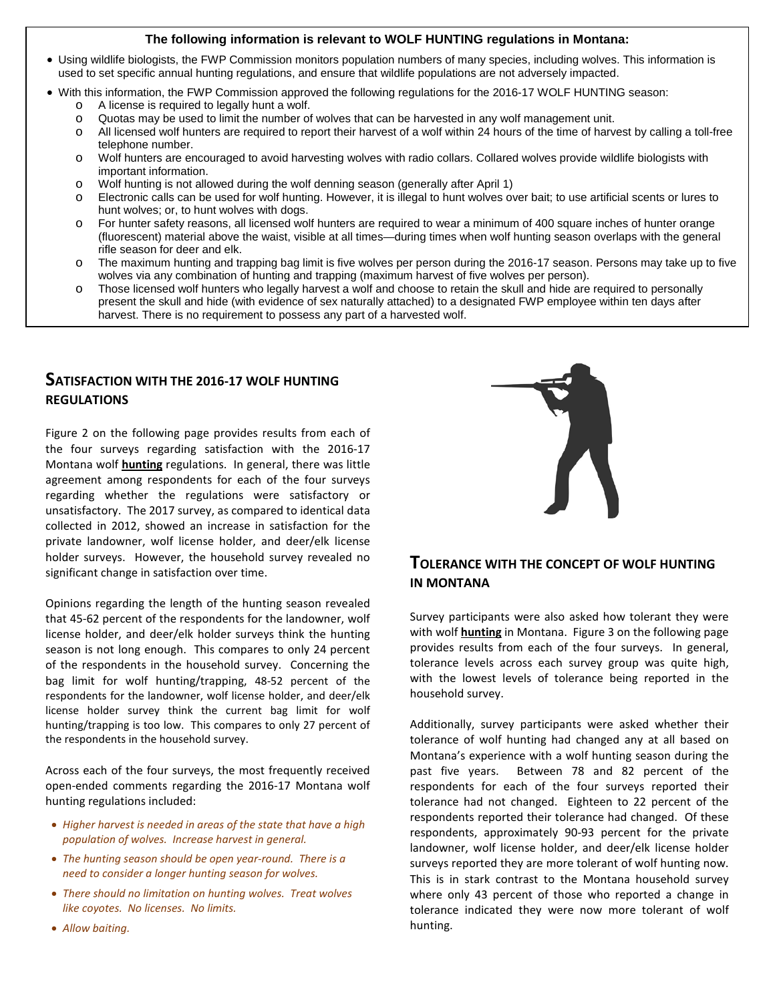#### **The following information is relevant to WOLF HUNTING regulations in Montana:**

- Using wildlife biologists, the FWP Commission monitors population numbers of many species, including wolves. This information is used to set specific annual hunting regulations, and ensure that wildlife populations are not adversely impacted.
- With this information, the FWP Commission approved the following regulations for the 2016-17 WOLF HUNTING season:
	- $\circ$  A license is required to legally hunt a wolf.<br> $\circ$  Quotas may be used to limit the number of
	- o Quotas may be used to limit the number of wolves that can be harvested in any wolf management unit.
	- All licensed wolf hunters are required to report their harvest of a wolf within 24 hours of the time of harvest by calling a toll-free telephone number.
	- o Wolf hunters are encouraged to avoid harvesting wolves with radio collars. Collared wolves provide wildlife biologists with important information.
	- $\circ$  Wolf hunting is not allowed during the wolf denning season (generally after April 1)
	- o Electronic calls can be used for wolf hunting. However, it is illegal to hunt wolves over bait; to use artificial scents or lures to hunt wolves; or, to hunt wolves with dogs.
	- o For hunter safety reasons, all licensed wolf hunters are required to wear a minimum of 400 square inches of hunter orange (fluorescent) material above the waist, visible at all times—during times when wolf hunting season overlaps with the general rifle season for deer and elk.
	- o The maximum hunting and trapping bag limit is five wolves per person during the 2016-17 season. Persons may take up to five wolves via any combination of hunting and trapping (maximum harvest of five wolves per person).
	- o Those licensed wolf hunters who legally harvest a wolf and choose to retain the skull and hide are required to personally present the skull and hide (with evidence of sex naturally attached) to a designated FWP employee within ten days after harvest. There is no requirement to possess any part of a harvested wolf.

## **SATISFACTION WITH THE 2016-17 WOLF HUNTING REGULATIONS**

Figure 2 on the following page provides results from each of the four surveys regarding satisfaction with the 2016-17 Montana wolf **hunting** regulations. In general, there was little agreement among respondents for each of the four surveys regarding whether the regulations were satisfactory or unsatisfactory. The 2017 survey, as compared to identical data collected in 2012, showed an increase in satisfaction for the private landowner, wolf license holder, and deer/elk license holder surveys. However, the household survey revealed no significant change in satisfaction over time.

Opinions regarding the length of the hunting season revealed that 45-62 percent of the respondents for the landowner, wolf license holder, and deer/elk holder surveys think the hunting season is not long enough. This compares to only 24 percent of the respondents in the household survey. Concerning the bag limit for wolf hunting/trapping, 48-52 percent of the respondents for the landowner, wolf license holder, and deer/elk license holder survey think the current bag limit for wolf hunting/trapping is too low. This compares to only 27 percent of the respondents in the household survey.

Across each of the four surveys, the most frequently received open-ended comments regarding the 2016-17 Montana wolf hunting regulations included:

- *Higher harvest is needed in areas of the state that have a high population of wolves. Increase harvest in general.*
- *The hunting season should be open year-round. There is a need to consider a longer hunting season for wolves.*
- *There should no limitation on hunting wolves. Treat wolves like coyotes. No licenses. No limits.*



## **TOLERANCE WITH THE CONCEPT OF WOLF HUNTING IN MONTANA**

Survey participants were also asked how tolerant they were with wolf **hunting** in Montana. Figure 3 on the following page provides results from each of the four surveys. In general, tolerance levels across each survey group was quite high, with the lowest levels of tolerance being reported in the household survey.

Additionally, survey participants were asked whether their tolerance of wolf hunting had changed any at all based on Montana's experience with a wolf hunting season during the past five years. Between 78 and 82 percent of the respondents for each of the four surveys reported their tolerance had not changed. Eighteen to 22 percent of the respondents reported their tolerance had changed. Of these respondents, approximately 90-93 percent for the private landowner, wolf license holder, and deer/elk license holder surveys reported they are more tolerant of wolf hunting now. This is in stark contrast to the Montana household survey where only 43 percent of those who reported a change in tolerance indicated they were now more tolerant of wolf hunting.

• *Allow baiting.*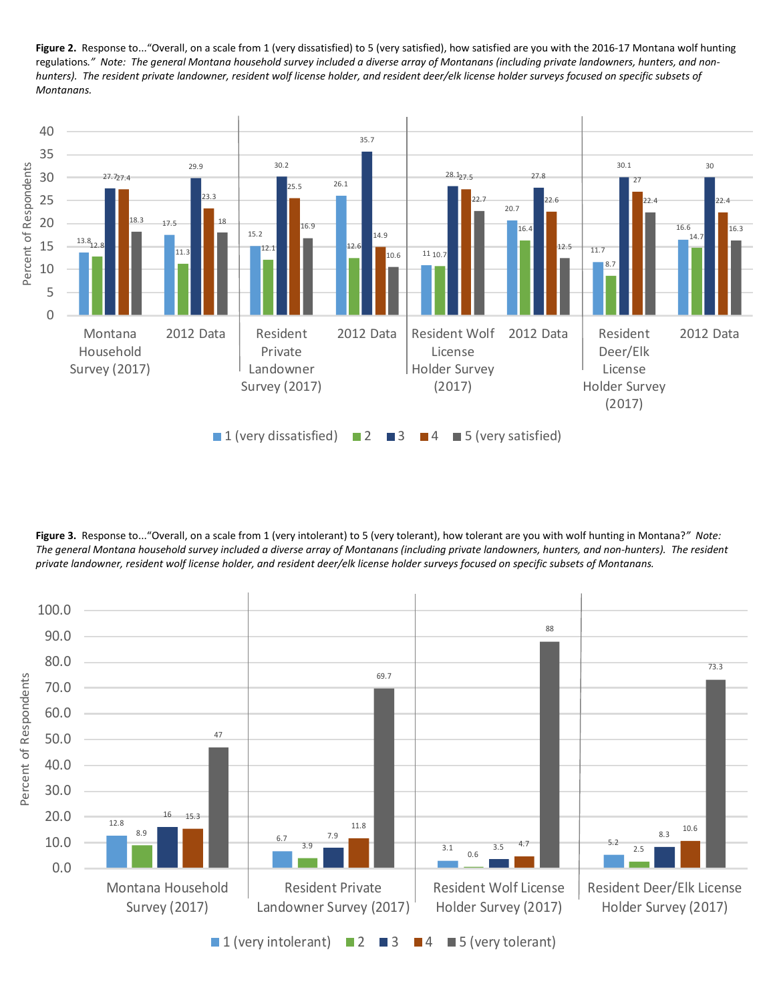Figure 2. Response to..."Overall, on a scale from 1 (very dissatisfied) to 5 (very satisfied), how satisfied are you with the 2016-17 Montana wolf hunting regulations*." Note: The general Montana household survey included a diverse array of Montanans (including private landowners, hunters, and nonhunters). The resident private landowner, resident wolf license holder, and resident deer/elk license holder surveys focused on specific subsets of Montanans.*



**Figure 3.** Response to..."Overall, on a scale from 1 (very intolerant) to 5 (very tolerant), how tolerant are you with wolf hunting in Montana?*" Note: The general Montana household survey included a diverse array of Montanans (including private landowners, hunters, and non-hunters). The resident private landowner, resident wolf license holder, and resident deer/elk license holder surveys focused on specific subsets of Montanans.*

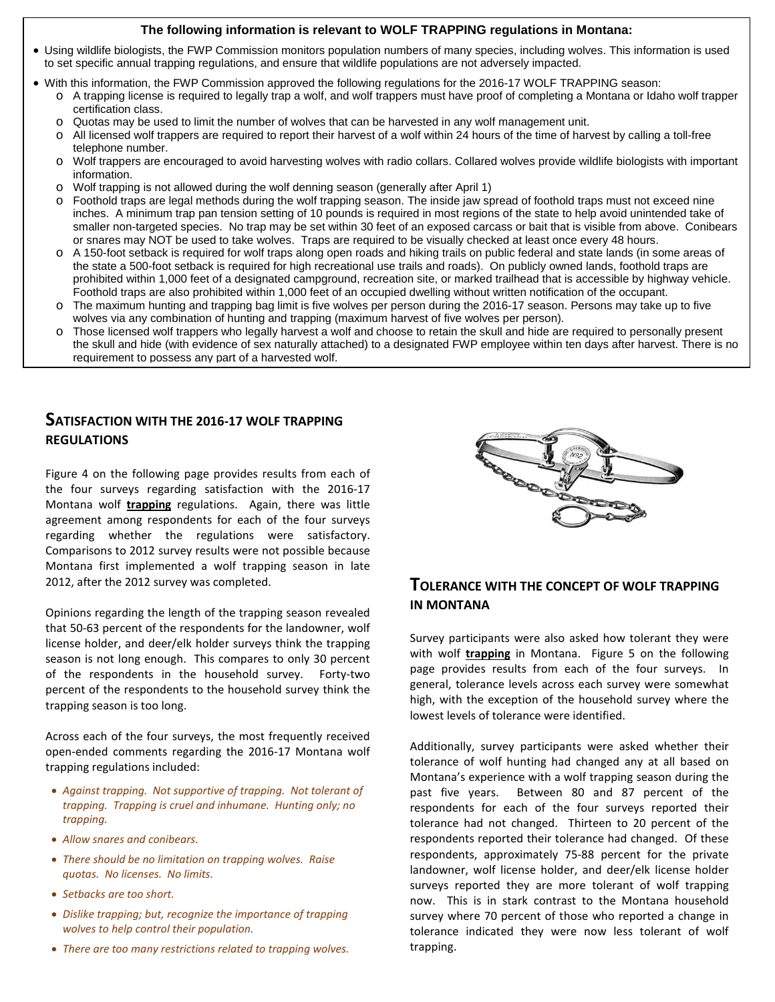#### **The following information is relevant to WOLF TRAPPING regulations in Montana:**

- Using wildlife biologists, the FWP Commission monitors population numbers of many species, including wolves. This information is used to set specific annual trapping regulations, and ensure that wildlife populations are not adversely impacted.
- With this information, the FWP Commission approved the following regulations for the 2016-17 WOLF TRAPPING season: o A trapping license is required to legally trap a wolf, and wolf trappers must have proof of completing a Montana or Idaho wolf trapper certification class.
	- o Quotas may be used to limit the number of wolves that can be harvested in any wolf management unit.<br>
	o All licensed wolf trappers are required to report their harvest of a wolf within 24 hours of the time of han
	- All licensed wolf trappers are required to report their harvest of a wolf within 24 hours of the time of harvest by calling a toll-free telephone number.
	- o Wolf trappers are encouraged to avoid harvesting wolves with radio collars. Collared wolves provide wildlife biologists with important information.
	- o Wolf trapping is not allowed during the wolf denning season (generally after April 1)
	- o Foothold traps are legal methods during the wolf trapping season. The inside jaw spread of foothold traps must not exceed nine inches. A minimum trap pan tension setting of 10 pounds is required in most regions of the state to help avoid unintended take of smaller non-targeted species. No trap may be set within 30 feet of an exposed carcass or bait that is visible from above. Conibears or snares may NOT be used to take wolves. Traps are required to be visually checked at least once every 48 hours.
	- o A 150-foot setback is required for wolf traps along open roads and hiking trails on public federal and state lands (in some areas of the state a 500-foot setback is required for high recreational use trails and roads). On publicly owned lands, foothold traps are prohibited within 1,000 feet of a designated campground, recreation site, or marked trailhead that is accessible by highway vehicle. Foothold traps are also prohibited within 1,000 feet of an occupied dwelling without written notification of the occupant.
	- o The maximum hunting and trapping bag limit is five wolves per person during the 2016-17 season. Persons may take up to five wolves via any combination of hunting and trapping (maximum harvest of five wolves per person).
	- o Those licensed wolf trappers who legally harvest a wolf and choose to retain the skull and hide are required to personally present the skull and hide (with evidence of sex naturally attached) to a designated FWP employee within ten days after harvest. There is no requirement to possess any part of a harvested wolf.

## **SATISFACTION WITH THE 2016-17 WOLF TRAPPING REGULATIONS**

Figure 4 on the following page provides results from each of the four surveys regarding satisfaction with the 2016-17 Montana wolf **trapping** regulations. Again, there was little agreement among respondents for each of the four surveys regarding whether the regulations were satisfactory. Comparisons to 2012 survey results were not possible because Montana first implemented a wolf trapping season in late 2012, after the 2012 survey was completed.

Opinions regarding the length of the trapping season revealed that 50-63 percent of the respondents for the landowner, wolf license holder, and deer/elk holder surveys think the trapping season is not long enough. This compares to only 30 percent of the respondents in the household survey. Forty-two percent of the respondents to the household survey think the trapping season is too long.

Across each of the four surveys, the most frequently received open-ended comments regarding the 2016-17 Montana wolf trapping regulations included:

- *Against trapping. Not supportive of trapping. Not tolerant of trapping. Trapping is cruel and inhumane. Hunting only; no trapping.*
- *Allow snares and conibears.*
- *There should be no limitation on trapping wolves. Raise quotas. No licenses. No limits.*
- *Setbacks are too short.*
- *Dislike trapping; but, recognize the importance of trapping wolves to help control their population.*
- *There are too many restrictions related to trapping wolves.*



## **TOLERANCE WITH THE CONCEPT OF WOLF TRAPPING IN MONTANA**

Survey participants were also asked how tolerant they were with wolf **trapping** in Montana. Figure 5 on the following page provides results from each of the four surveys. In general, tolerance levels across each survey were somewhat high, with the exception of the household survey where the lowest levels of tolerance were identified.

Additionally, survey participants were asked whether their tolerance of wolf hunting had changed any at all based on Montana's experience with a wolf trapping season during the past five years. Between 80 and 87 percent of the respondents for each of the four surveys reported their tolerance had not changed. Thirteen to 20 percent of the respondents reported their tolerance had changed. Of these respondents, approximately 75-88 percent for the private landowner, wolf license holder, and deer/elk license holder surveys reported they are more tolerant of wolf trapping now. This is in stark contrast to the Montana household survey where 70 percent of those who reported a change in tolerance indicated they were now less tolerant of wolf trapping.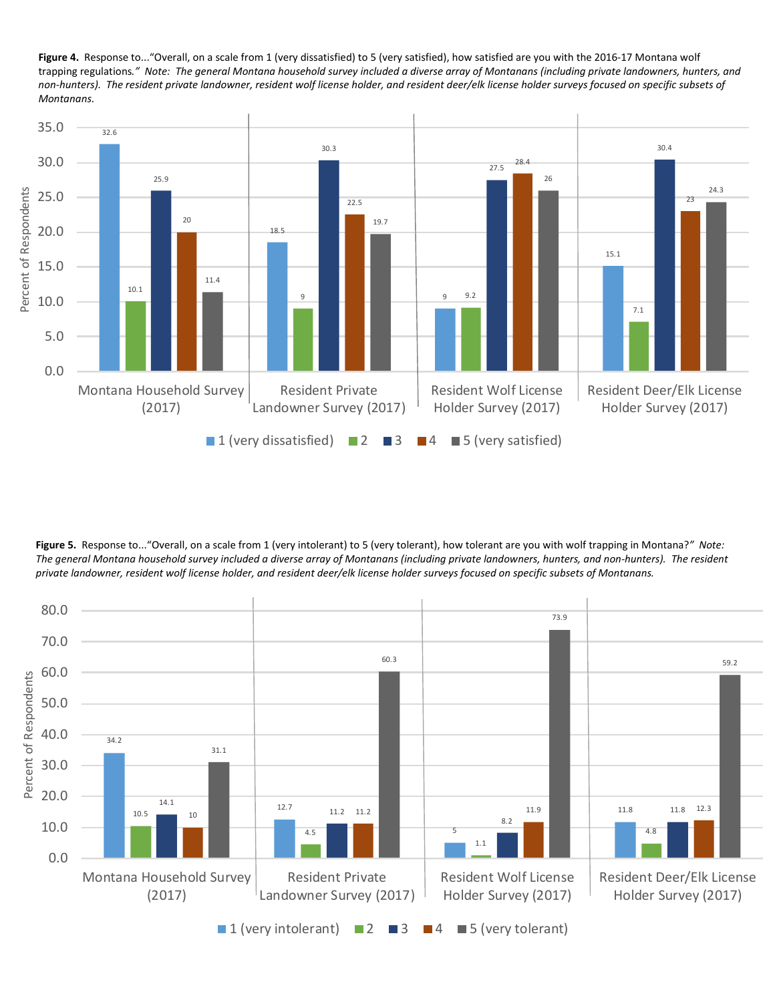**Figure 4.** Response to..."Overall, on a scale from 1 (very dissatisfied) to 5 (very satisfied), how satisfied are you with the 2016-17 Montana wolf trapping regulations*." Note: The general Montana household survey included a diverse array of Montanans (including private landowners, hunters, and non-hunters). The resident private landowner, resident wolf license holder, and resident deer/elk license holder surveys focused on specific subsets of Montanans.*



**Figure 5.** Response to..."Overall, on a scale from 1 (very intolerant) to 5 (very tolerant), how tolerant are you with wolf trapping in Montana?*" Note:*  The general Montana household survey included a diverse array of Montanans (including private landowners, hunters, and non-hunters). The resident *private landowner, resident wolf license holder, and resident deer/elk license holder surveys focused on specific subsets of Montanans.*

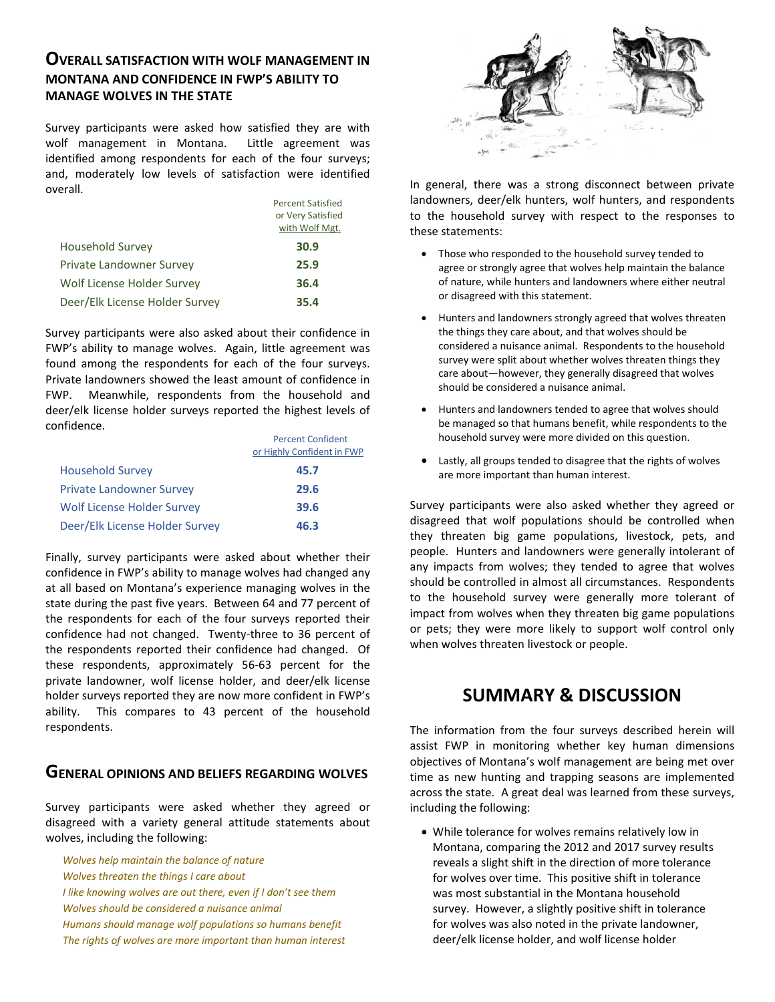## **OVERALL SATISFACTION WITH WOLF MANAGEMENT IN MONTANA AND CONFIDENCE IN FWP'S ABILITY TO MANAGE WOLVES IN THE STATE**

Survey participants were asked how satisfied they are with wolf management in Montana. Little agreement was identified among respondents for each of the four surveys; and, moderately low levels of satisfaction were identified overall.

| <b>Percent Satisfied</b> |
|--------------------------|
| or Very Satisfied        |
| with Wolf Mgt.           |
| 30.9                     |
| 25.9                     |
| 36.4                     |
| 35.4                     |
|                          |

Survey participants were also asked about their confidence in FWP's ability to manage wolves. Again, little agreement was found among the respondents for each of the four surveys. Private landowners showed the least amount of confidence in FWP. Meanwhile, respondents from the household and deer/elk license holder surveys reported the highest levels of confidence.

|                                   | <b>Percent Confident</b><br>or Highly Confident in FWP |
|-----------------------------------|--------------------------------------------------------|
| <b>Household Survey</b>           | 45.7                                                   |
| <b>Private Landowner Survey</b>   | 29.6                                                   |
| <b>Wolf License Holder Survey</b> | 39.6                                                   |
| Deer/Elk License Holder Survey    | 46.3                                                   |

Finally, survey participants were asked about whether their confidence in FWP's ability to manage wolves had changed any at all based on Montana's experience managing wolves in the state during the past five years. Between 64 and 77 percent of the respondents for each of the four surveys reported their confidence had not changed. Twenty-three to 36 percent of the respondents reported their confidence had changed. Of these respondents, approximately 56-63 percent for the private landowner, wolf license holder, and deer/elk license holder surveys reported they are now more confident in FWP's ability. This compares to 43 percent of the household respondents.

#### **GENERAL OPINIONS AND BELIEFS REGARDING WOLVES**

Survey participants were asked whether they agreed or disagreed with a variety general attitude statements about wolves, including the following:

*Wolves help maintain the balance of nature Wolves threaten the things I care about I like knowing wolves are out there, even if I don't see them Wolves should be considered a nuisance animal Humans should manage wolf populations so humans benefit The rights of wolves are more important than human interest*



In general, there was a strong disconnect between private landowners, deer/elk hunters, wolf hunters, and respondents to the household survey with respect to the responses to these statements:

- Those who responded to the household survey tended to agree or strongly agree that wolves help maintain the balance of nature, while hunters and landowners where either neutral or disagreed with this statement.
- Hunters and landowners strongly agreed that wolves threaten the things they care about, and that wolves should be considered a nuisance animal. Respondents to the household survey were split about whether wolves threaten things they care about—however, they generally disagreed that wolves should be considered a nuisance animal.
- Hunters and landowners tended to agree that wolves should be managed so that humans benefit, while respondents to the household survey were more divided on this question.
- Lastly, all groups tended to disagree that the rights of wolves are more important than human interest.

Survey participants were also asked whether they agreed or disagreed that wolf populations should be controlled when they threaten big game populations, livestock, pets, and people. Hunters and landowners were generally intolerant of any impacts from wolves; they tended to agree that wolves should be controlled in almost all circumstances. Respondents to the household survey were generally more tolerant of impact from wolves when they threaten big game populations or pets; they were more likely to support wolf control only when wolves threaten livestock or people.

# **SUMMARY & DISCUSSION**

The information from the four surveys described herein will assist FWP in monitoring whether key human dimensions objectives of Montana's wolf management are being met over time as new hunting and trapping seasons are implemented across the state. A great deal was learned from these surveys, including the following:

• While tolerance for wolves remains relatively low in Montana, comparing the 2012 and 2017 survey results reveals a slight shift in the direction of more tolerance for wolves over time. This positive shift in tolerance was most substantial in the Montana household survey. However, a slightly positive shift in tolerance for wolves was also noted in the private landowner, deer/elk license holder, and wolf license holder